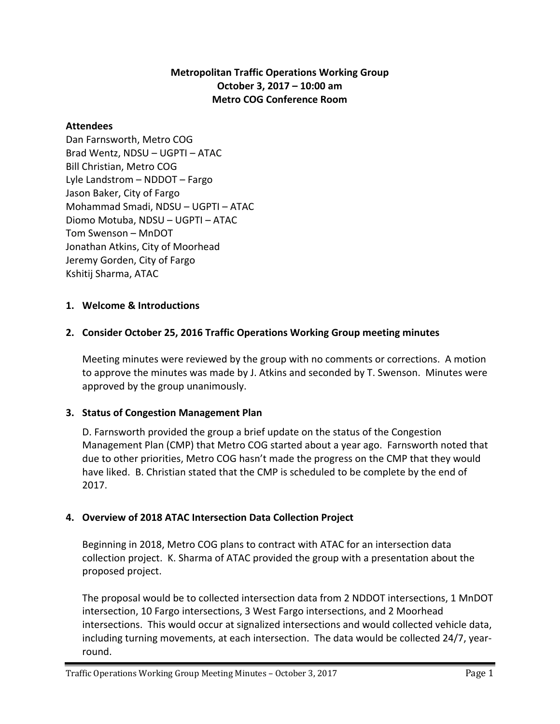## **Metropolitan Traffic Operations Working Group October 3, 2017 – 10:00 am Metro COG Conference Room**

### **Attendees**

Dan Farnsworth, Metro COG Brad Wentz, NDSU – UGPTI – ATAC Bill Christian, Metro COG Lyle Landstrom – NDDOT – Fargo Jason Baker, City of Fargo Mohammad Smadi, NDSU – UGPTI – ATAC Diomo Motuba, NDSU – UGPTI – ATAC Tom Swenson – MnDOT Jonathan Atkins, City of Moorhead Jeremy Gorden, City of Fargo Kshitij Sharma, ATAC

### **1. Welcome & Introductions**

## **2. Consider October 25, 2016 Traffic Operations Working Group meeting minutes**

Meeting minutes were reviewed by the group with no comments or corrections. A motion to approve the minutes was made by J. Atkins and seconded by T. Swenson. Minutes were approved by the group unanimously.

#### **3. Status of Congestion Management Plan**

D. Farnsworth provided the group a brief update on the status of the Congestion Management Plan (CMP) that Metro COG started about a year ago. Farnsworth noted that due to other priorities, Metro COG hasn't made the progress on the CMP that they would have liked. B. Christian stated that the CMP is scheduled to be complete by the end of 2017.

## **4. Overview of 2018 ATAC Intersection Data Collection Project**

Beginning in 2018, Metro COG plans to contract with ATAC for an intersection data collection project. K. Sharma of ATAC provided the group with a presentation about the proposed project.

The proposal would be to collected intersection data from 2 NDDOT intersections, 1 MnDOT intersection, 10 Fargo intersections, 3 West Fargo intersections, and 2 Moorhead intersections. This would occur at signalized intersections and would collected vehicle data, including turning movements, at each intersection. The data would be collected 24/7, year‐ round.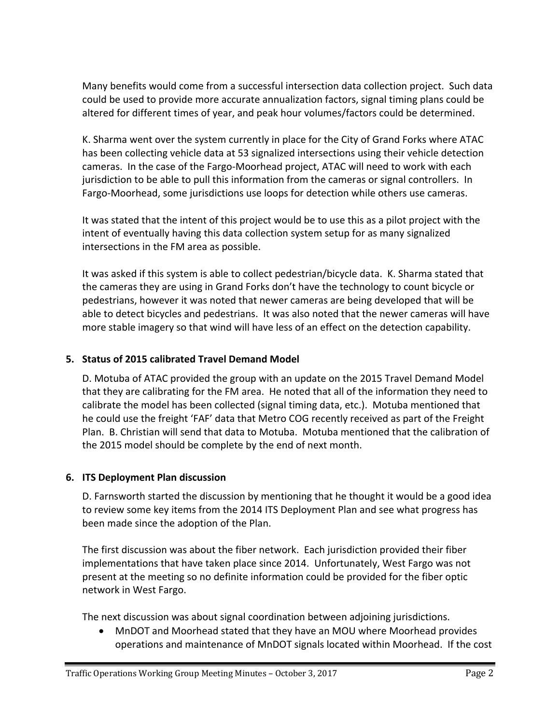Many benefits would come from a successful intersection data collection project. Such data could be used to provide more accurate annualization factors, signal timing plans could be altered for different times of year, and peak hour volumes/factors could be determined.

K. Sharma went over the system currently in place for the City of Grand Forks where ATAC has been collecting vehicle data at 53 signalized intersections using their vehicle detection cameras. In the case of the Fargo‐Moorhead project, ATAC will need to work with each jurisdiction to be able to pull this information from the cameras or signal controllers. In Fargo‐Moorhead, some jurisdictions use loops for detection while others use cameras.

It was stated that the intent of this project would be to use this as a pilot project with the intent of eventually having this data collection system setup for as many signalized intersections in the FM area as possible.

It was asked if this system is able to collect pedestrian/bicycle data. K. Sharma stated that the cameras they are using in Grand Forks don't have the technology to count bicycle or pedestrians, however it was noted that newer cameras are being developed that will be able to detect bicycles and pedestrians. It was also noted that the newer cameras will have more stable imagery so that wind will have less of an effect on the detection capability.

# **5. Status of 2015 calibrated Travel Demand Model**

D. Motuba of ATAC provided the group with an update on the 2015 Travel Demand Model that they are calibrating for the FM area. He noted that all of the information they need to calibrate the model has been collected (signal timing data, etc.). Motuba mentioned that he could use the freight 'FAF' data that Metro COG recently received as part of the Freight Plan. B. Christian will send that data to Motuba. Motuba mentioned that the calibration of the 2015 model should be complete by the end of next month.

## **6. ITS Deployment Plan discussion**

D. Farnsworth started the discussion by mentioning that he thought it would be a good idea to review some key items from the 2014 ITS Deployment Plan and see what progress has been made since the adoption of the Plan.

The first discussion was about the fiber network. Each jurisdiction provided their fiber implementations that have taken place since 2014. Unfortunately, West Fargo was not present at the meeting so no definite information could be provided for the fiber optic network in West Fargo.

The next discussion was about signal coordination between adjoining jurisdictions.

 MnDOT and Moorhead stated that they have an MOU where Moorhead provides operations and maintenance of MnDOT signals located within Moorhead. If the cost